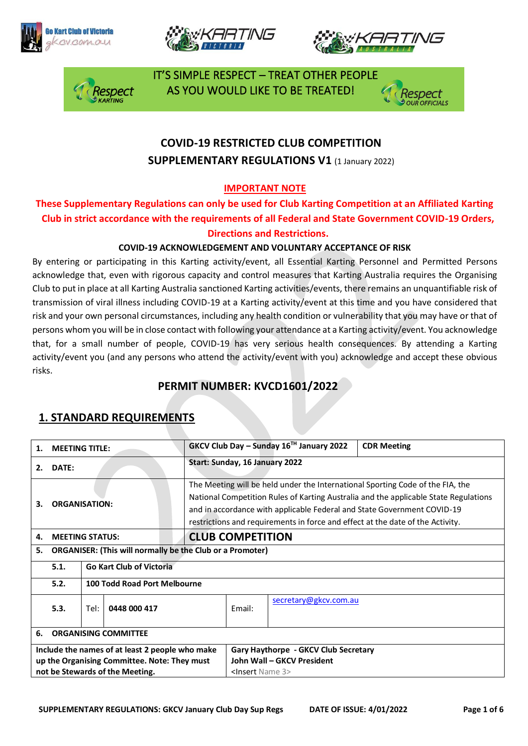







 IT'S SIMPLE RESPECT – TREAT OTHER PEOPLE AS YOU WOULD LIKE TO BE TREATED!



# **COVID-19 RESTRICTED CLUB COMPETITION SUPPLEMENTARY REGULATIONS V1 (1 January 2022)**

#### **IMPORTANT NOTE**

### **These Supplementary Regulations can only be used for Club Karting Competition at an Affiliated Karting Club in strict accordance with the requirements of all Federal and State Government COVID-19 Orders, Directions and Restrictions.**

#### **COVID-19 ACKNOWLEDGEMENT AND VOLUNTARY ACCEPTANCE OF RISK**

By entering or participating in this Karting activity/event, all Essential Karting Personnel and Permitted Persons acknowledge that, even with rigorous capacity and control measures that Karting Australia requires the Organising Club to put in place at all Karting Australia sanctioned Karting activities/events, there remains an unquantifiable risk of transmission of viral illness including COVID-19 at a Karting activity/event at this time and you have considered that risk and your own personal circumstances, including any health condition or vulnerability that you may have or that of persons whom you will be in close contact with following your attendance at a Karting activity/event. You acknowledge that, for a small number of people, COVID-19 has very serious health consequences. By attending a Karting activity/event you (and any persons who attend the activity/event with you) acknowledge and accept these obvious risks.

### **PERMIT NUMBER: KVCD1601/2022**

| 1.                                           | <b>MEETING TITLE:</b>                                            |                              |                                 |                                      | GKCV Club Day – Sunday $16^{TH}$ January 2022                                                                                                                                                                                                                                                                                       | <b>CDR Meeting</b> |  |  |
|----------------------------------------------|------------------------------------------------------------------|------------------------------|---------------------------------|--------------------------------------|-------------------------------------------------------------------------------------------------------------------------------------------------------------------------------------------------------------------------------------------------------------------------------------------------------------------------------------|--------------------|--|--|
| 2.                                           | DATE:                                                            |                              |                                 | Start: Sunday, 16 January 2022       |                                                                                                                                                                                                                                                                                                                                     |                    |  |  |
| З.                                           | <b>ORGANISATION:</b>                                             |                              |                                 |                                      | The Meeting will be held under the International Sporting Code of the FIA, the<br>National Competition Rules of Karting Australia and the applicable State Regulations<br>and in accordance with applicable Federal and State Government COVID-19<br>restrictions and requirements in force and effect at the date of the Activity. |                    |  |  |
| 4.                                           | <b>MEETING STATUS:</b>                                           |                              |                                 | <b>CLUB COMPETITION</b>              |                                                                                                                                                                                                                                                                                                                                     |                    |  |  |
| 5.                                           | <b>ORGANISER: (This will normally be the Club or a Promoter)</b> |                              |                                 |                                      |                                                                                                                                                                                                                                                                                                                                     |                    |  |  |
|                                              | 5.1.                                                             |                              | <b>Go Kart Club of Victoria</b> |                                      |                                                                                                                                                                                                                                                                                                                                     |                    |  |  |
|                                              | 5.2.                                                             | 100 Todd Road Port Melbourne |                                 |                                      |                                                                                                                                                                                                                                                                                                                                     |                    |  |  |
|                                              | 5.3.                                                             | 0448 000 417<br>Tel:         |                                 | Email:                               | secretary@gkcv.com.au                                                                                                                                                                                                                                                                                                               |                    |  |  |
| 6.                                           | <b>ORGANISING COMMITTEE</b>                                      |                              |                                 |                                      |                                                                                                                                                                                                                                                                                                                                     |                    |  |  |
|                                              | Include the names of at least 2 people who make                  |                              |                                 | Gary Haythorpe - GKCV Club Secretary |                                                                                                                                                                                                                                                                                                                                     |                    |  |  |
| up the Organising Committee. Note: They must |                                                                  |                              | John Wall - GKCV President      |                                      |                                                                                                                                                                                                                                                                                                                                     |                    |  |  |
| not be Stewards of the Meeting.              |                                                                  |                              | <insert 3="" name=""></insert>  |                                      |                                                                                                                                                                                                                                                                                                                                     |                    |  |  |

### **1. STANDARD REQUIREMENTS**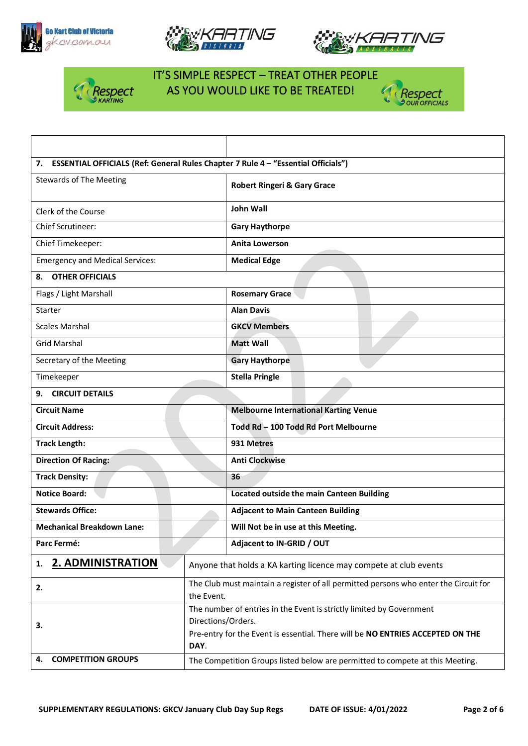







### IT'S SIMPLE RESPECT – TREAT OTHER PEOPLE AS YOU WOULD LIKE TO BE TREATED!

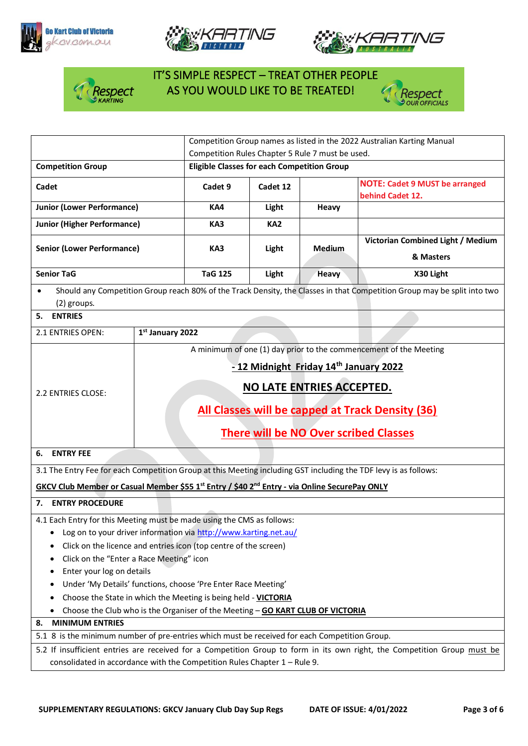







# IT'S SIMPLE RESPECT – TREAT OTHER PEOPLE **A Respect** AS YOU WOULD LIKE TO BE TREATED!



|                                                                                                                                                                                                                                                                                                                                                                                                                            |                                                                                                                                                                 | Competition Group names as listed in the 2022 Australian Karting Manual |                 |                                                |                                                           |  |
|----------------------------------------------------------------------------------------------------------------------------------------------------------------------------------------------------------------------------------------------------------------------------------------------------------------------------------------------------------------------------------------------------------------------------|-----------------------------------------------------------------------------------------------------------------------------------------------------------------|-------------------------------------------------------------------------|-----------------|------------------------------------------------|-----------------------------------------------------------|--|
|                                                                                                                                                                                                                                                                                                                                                                                                                            | Competition Rules Chapter 5 Rule 7 must be used.                                                                                                                |                                                                         |                 |                                                |                                                           |  |
| <b>Competition Group</b>                                                                                                                                                                                                                                                                                                                                                                                                   | <b>Eligible Classes for each Competition Group</b>                                                                                                              |                                                                         |                 |                                                |                                                           |  |
| <b>Cadet</b>                                                                                                                                                                                                                                                                                                                                                                                                               |                                                                                                                                                                 | Cadet 9                                                                 | Cadet 12        |                                                | <b>NOTE: Cadet 9 MUST be arranged</b><br>behind Cadet 12. |  |
| <b>Junior (Lower Performance)</b>                                                                                                                                                                                                                                                                                                                                                                                          |                                                                                                                                                                 | KA4                                                                     | Light           | Heavy                                          |                                                           |  |
| <b>Junior (Higher Performance)</b>                                                                                                                                                                                                                                                                                                                                                                                         |                                                                                                                                                                 | KA3                                                                     | KA <sub>2</sub> |                                                |                                                           |  |
| <b>Senior (Lower Performance)</b>                                                                                                                                                                                                                                                                                                                                                                                          | KA3                                                                                                                                                             | Light                                                                   | Medium          | Victorian Combined Light / Medium<br>& Masters |                                                           |  |
| <b>Senior TaG</b>                                                                                                                                                                                                                                                                                                                                                                                                          |                                                                                                                                                                 | <b>TaG 125</b>                                                          | Light           | <b>Heavy</b>                                   | X30 Light                                                 |  |
| Should any Competition Group reach 80% of the Track Density, the Classes in that Competition Group may be split into two<br>$\bullet$<br>(2) groups.                                                                                                                                                                                                                                                                       |                                                                                                                                                                 |                                                                         |                 |                                                |                                                           |  |
| <b>ENTRIES</b><br>5.                                                                                                                                                                                                                                                                                                                                                                                                       |                                                                                                                                                                 |                                                                         |                 |                                                |                                                           |  |
| 2.1 ENTRIES OPEN:                                                                                                                                                                                                                                                                                                                                                                                                          | 1st January 2022                                                                                                                                                |                                                                         |                 |                                                |                                                           |  |
| 2.2 ENTRIES CLOSE:                                                                                                                                                                                                                                                                                                                                                                                                         | -12 Midnight Friday 14th January 2022<br>NO LATE ENTRIES ACCEPTED.<br>All Classes will be capped at Track Density (36)<br>There will be NO Over scribed Classes |                                                                         |                 |                                                |                                                           |  |
| <b>ENTRY FEE</b><br>6.                                                                                                                                                                                                                                                                                                                                                                                                     |                                                                                                                                                                 |                                                                         |                 |                                                |                                                           |  |
| 3.1 The Entry Fee for each Competition Group at this Meeting including GST including the TDF levy is as follows:                                                                                                                                                                                                                                                                                                           |                                                                                                                                                                 |                                                                         |                 |                                                |                                                           |  |
| GKCV Club Member or Casual Member \$55 1 <sup>st</sup> Entry / \$40 2 <sup>nd</sup> Entry - via Online SecurePay ONLY                                                                                                                                                                                                                                                                                                      |                                                                                                                                                                 |                                                                         |                 |                                                |                                                           |  |
| 7. ENTRY PROCEDURE                                                                                                                                                                                                                                                                                                                                                                                                         |                                                                                                                                                                 |                                                                         |                 |                                                |                                                           |  |
| 4.1 Each Entry for this Meeting must be made using the CMS as follows:<br>Log on to your driver information via http://www.karting.net.au/<br>Click on the licence and entries icon (top centre of the screen)<br>Click on the "Enter a Race Meeting" icon<br>Enter your log on details<br>Under 'My Details' functions, choose 'Pre Enter Race Meeting'<br>Choose the State in which the Meeting is being held - VICTORIA |                                                                                                                                                                 |                                                                         |                 |                                                |                                                           |  |
| Choose the Club who is the Organiser of the Meeting - GO KART CLUB OF VICTORIA<br>٠                                                                                                                                                                                                                                                                                                                                        |                                                                                                                                                                 |                                                                         |                 |                                                |                                                           |  |
| <b>MINIMUM ENTRIES</b><br>8.                                                                                                                                                                                                                                                                                                                                                                                               |                                                                                                                                                                 |                                                                         |                 |                                                |                                                           |  |
| 5.1 8 is the minimum number of pre-entries which must be received for each Competition Group.                                                                                                                                                                                                                                                                                                                              |                                                                                                                                                                 |                                                                         |                 |                                                |                                                           |  |
| 5.2 If insufficient entries are received for a Competition Group to form in its own right, the Competition Group must be<br>consolidated in accordance with the Competition Rules Chapter 1 - Rule 9.                                                                                                                                                                                                                      |                                                                                                                                                                 |                                                                         |                 |                                                |                                                           |  |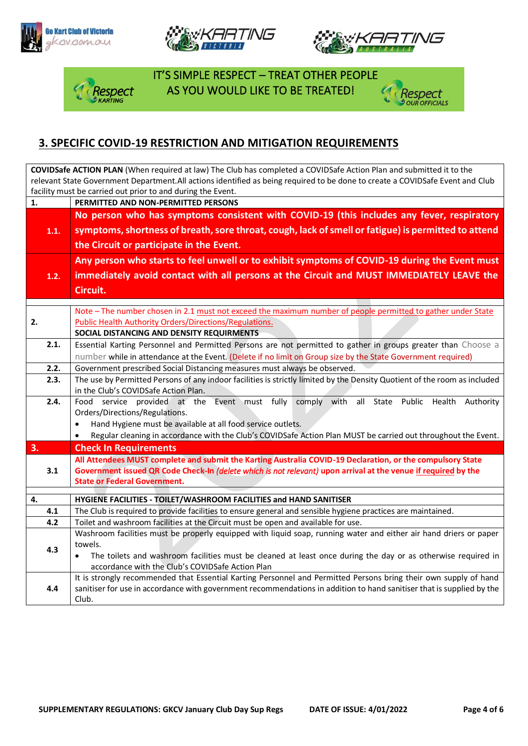







 IT'S SIMPLE RESPECT – TREAT OTHER PEOPLE RESPECT AS YOU WOULD LIKE TO BE TREATED!<br>KARTING



### **3. SPECIFIC COVID-19 RESTRICTION AND MITIGATION REQUIREMENTS**

| <b>COVIDSafe ACTION PLAN</b> (When required at law) The Club has completed a COVIDSafe Action Plan and submitted it to the     |                                                                                                                                                                                                                                           |  |  |  |  |  |
|--------------------------------------------------------------------------------------------------------------------------------|-------------------------------------------------------------------------------------------------------------------------------------------------------------------------------------------------------------------------------------------|--|--|--|--|--|
| relevant State Government Department. All actions identified as being required to be done to create a COVIDSafe Event and Club |                                                                                                                                                                                                                                           |  |  |  |  |  |
| facility must be carried out prior to and during the Event.                                                                    |                                                                                                                                                                                                                                           |  |  |  |  |  |
| 1.                                                                                                                             | PERMITTED AND NON-PERMITTED PERSONS                                                                                                                                                                                                       |  |  |  |  |  |
|                                                                                                                                | No person who has symptoms consistent with COVID-19 (this includes any fever, respiratory                                                                                                                                                 |  |  |  |  |  |
| 1.1.                                                                                                                           | symptoms, shortness of breath, sore throat, cough, lack of smell or fatigue) is permitted to attend                                                                                                                                       |  |  |  |  |  |
|                                                                                                                                | the Circuit or participate in the Event.                                                                                                                                                                                                  |  |  |  |  |  |
|                                                                                                                                | Any person who starts to feel unwell or to exhibit symptoms of COVID-19 during the Event must                                                                                                                                             |  |  |  |  |  |
| 1.2.                                                                                                                           | immediately avoid contact with all persons at the Circuit and MUST IMMEDIATELY LEAVE the                                                                                                                                                  |  |  |  |  |  |
|                                                                                                                                | Circuit.                                                                                                                                                                                                                                  |  |  |  |  |  |
|                                                                                                                                |                                                                                                                                                                                                                                           |  |  |  |  |  |
|                                                                                                                                | Note - The number chosen in 2.1 must not exceed the maximum number of people permitted to gather under State                                                                                                                              |  |  |  |  |  |
| 2.                                                                                                                             | <b>Public Health Authority Orders/Directions/Regulations.</b>                                                                                                                                                                             |  |  |  |  |  |
|                                                                                                                                | SOCIAL DISTANCING AND DENSITY REQUIRMENTS                                                                                                                                                                                                 |  |  |  |  |  |
| 2.1.                                                                                                                           | Essential Karting Personnel and Permitted Persons are not permitted to gather in groups greater than Choose a                                                                                                                             |  |  |  |  |  |
|                                                                                                                                | number while in attendance at the Event. (Delete if no limit on Group size by the State Government required)                                                                                                                              |  |  |  |  |  |
| 2.2.                                                                                                                           | Government prescribed Social Distancing measures must always be observed.                                                                                                                                                                 |  |  |  |  |  |
| 2.3.                                                                                                                           | The use by Permitted Persons of any indoor facilities is strictly limited by the Density Quotient of the room as included                                                                                                                 |  |  |  |  |  |
|                                                                                                                                | in the Club's COVIDSafe Action Plan.                                                                                                                                                                                                      |  |  |  |  |  |
| 2.4.                                                                                                                           | Food service provided at the Event must fully comply with all State Public Health<br>Authority                                                                                                                                            |  |  |  |  |  |
|                                                                                                                                | Orders/Directions/Regulations.                                                                                                                                                                                                            |  |  |  |  |  |
|                                                                                                                                | Hand Hygiene must be available at all food service outlets.<br>$\bullet$                                                                                                                                                                  |  |  |  |  |  |
|                                                                                                                                | Regular cleaning in accordance with the Club's COVIDSafe Action Plan MUST be carried out throughout the Event.                                                                                                                            |  |  |  |  |  |
| 3.                                                                                                                             | <b>Check In Requirements</b>                                                                                                                                                                                                              |  |  |  |  |  |
|                                                                                                                                | All Attendees MUST complete and submit the Karting Australia COVID-19 Declaration, or the compulsory State                                                                                                                                |  |  |  |  |  |
| 3.1                                                                                                                            | Government issued QR Code Check-In (delete which is not relevant) upon arrival at the venue if required by the<br><b>State or Federal Government.</b>                                                                                     |  |  |  |  |  |
|                                                                                                                                |                                                                                                                                                                                                                                           |  |  |  |  |  |
| 4.                                                                                                                             | HYGIENE FACILITIES - TOILET/WASHROOM FACILITIES and HAND SANITISER                                                                                                                                                                        |  |  |  |  |  |
| 4.1                                                                                                                            | The Club is required to provide facilities to ensure general and sensible hygiene practices are maintained.                                                                                                                               |  |  |  |  |  |
| 4.2                                                                                                                            | Toilet and washroom facilities at the Circuit must be open and available for use.                                                                                                                                                         |  |  |  |  |  |
|                                                                                                                                | Washroom facilities must be properly equipped with liquid soap, running water and either air hand driers or paper                                                                                                                         |  |  |  |  |  |
| 4.3                                                                                                                            | towels.                                                                                                                                                                                                                                   |  |  |  |  |  |
|                                                                                                                                | The toilets and washroom facilities must be cleaned at least once during the day or as otherwise required in                                                                                                                              |  |  |  |  |  |
|                                                                                                                                | accordance with the Club's COVIDSafe Action Plan                                                                                                                                                                                          |  |  |  |  |  |
| 4.4                                                                                                                            | It is strongly recommended that Essential Karting Personnel and Permitted Persons bring their own supply of hand<br>sanitiser for use in accordance with government recommendations in addition to hand sanitiser that is supplied by the |  |  |  |  |  |
|                                                                                                                                | Club.                                                                                                                                                                                                                                     |  |  |  |  |  |
|                                                                                                                                |                                                                                                                                                                                                                                           |  |  |  |  |  |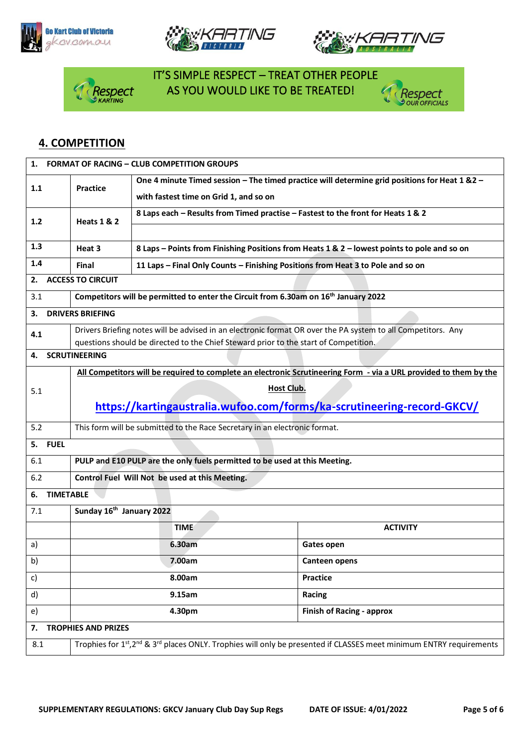







# IT'S SIMPLE RESPECT – TREAT OTHER PEOPLE Respect AS YOU WOULD LIKE TO BE TREATED!



### **4. COMPETITION**

|                                                                                                                   | 1. FORMAT OF RACING - CLUB COMPETITION GROUPS                                                                                               |                                                                                      |                                                                                                |  |  |  |
|-------------------------------------------------------------------------------------------------------------------|---------------------------------------------------------------------------------------------------------------------------------------------|--------------------------------------------------------------------------------------|------------------------------------------------------------------------------------------------|--|--|--|
| 1.1                                                                                                               | <b>Practice</b>                                                                                                                             | with fastest time on Grid 1, and so on                                               | One 4 minute Timed session - The timed practice will determine grid positions for Heat 1 & 2 - |  |  |  |
| 1.2                                                                                                               | <b>Heats 1 &amp; 2</b>                                                                                                                      | 8 Laps each - Results from Timed practise - Fastest to the front for Heats 1 & 2     |                                                                                                |  |  |  |
| 1.3                                                                                                               | Heat 3                                                                                                                                      |                                                                                      |                                                                                                |  |  |  |
| 1.4                                                                                                               | 8 Laps - Points from Finishing Positions from Heats 1 & 2 - lowest points to pole and so on                                                 |                                                                                      |                                                                                                |  |  |  |
| 2.                                                                                                                | 11 Laps - Final Only Counts - Finishing Positions from Heat 3 to Pole and so on<br>Final                                                    |                                                                                      |                                                                                                |  |  |  |
|                                                                                                                   | <b>ACCESS TO CIRCUIT</b>                                                                                                                    |                                                                                      |                                                                                                |  |  |  |
| 3.1                                                                                                               | Competitors will be permitted to enter the Circuit from 6.30am on 16 <sup>th</sup> January 2022                                             |                                                                                      |                                                                                                |  |  |  |
|                                                                                                                   | <b>DRIVERS BRIEFING</b><br>3.                                                                                                               |                                                                                      |                                                                                                |  |  |  |
| 4.1                                                                                                               | Drivers Briefing notes will be advised in an electronic format OR over the PA system to all Competitors. Any                                |                                                                                      |                                                                                                |  |  |  |
| 4.                                                                                                                | <b>SCRUTINEERING</b>                                                                                                                        | questions should be directed to the Chief Steward prior to the start of Competition. |                                                                                                |  |  |  |
|                                                                                                                   |                                                                                                                                             |                                                                                      |                                                                                                |  |  |  |
| All Competitors will be required to complete an electronic Scrutineering Form - via a URL provided to them by the |                                                                                                                                             |                                                                                      |                                                                                                |  |  |  |
| 5.1                                                                                                               | Host Club.                                                                                                                                  |                                                                                      |                                                                                                |  |  |  |
|                                                                                                                   | https://kartingaustralia.wufoo.com/forms/ka-scrutineering-record-GKCV/                                                                      |                                                                                      |                                                                                                |  |  |  |
| 5.2                                                                                                               | This form will be submitted to the Race Secretary in an electronic format.                                                                  |                                                                                      |                                                                                                |  |  |  |
| 5. FUEL                                                                                                           |                                                                                                                                             |                                                                                      |                                                                                                |  |  |  |
| 6.1                                                                                                               | PULP and E10 PULP are the only fuels permitted to be used at this Meeting.                                                                  |                                                                                      |                                                                                                |  |  |  |
| 6.2                                                                                                               | Control Fuel Will Not be used at this Meeting.                                                                                              |                                                                                      |                                                                                                |  |  |  |
| <b>TIMETABLE</b><br>6.                                                                                            |                                                                                                                                             |                                                                                      |                                                                                                |  |  |  |
| 7.1                                                                                                               | Sunday 16th January 2022                                                                                                                    |                                                                                      |                                                                                                |  |  |  |
|                                                                                                                   |                                                                                                                                             | <b>TIME</b>                                                                          | <b>ACTIVITY</b>                                                                                |  |  |  |
| a)                                                                                                                |                                                                                                                                             | 6.30am                                                                               | Gates open                                                                                     |  |  |  |
| b)                                                                                                                |                                                                                                                                             | 7.00am                                                                               | <b>Canteen opens</b>                                                                           |  |  |  |
| c)                                                                                                                |                                                                                                                                             | 8.00am                                                                               | <b>Practice</b>                                                                                |  |  |  |
| d)                                                                                                                |                                                                                                                                             | 9.15am                                                                               | Racing                                                                                         |  |  |  |
| e)                                                                                                                |                                                                                                                                             | 4.30pm                                                                               | <b>Finish of Racing - approx</b>                                                               |  |  |  |
| <b>TROPHIES AND PRIZES</b><br>7.                                                                                  |                                                                                                                                             |                                                                                      |                                                                                                |  |  |  |
| 8.1                                                                                                               | Trophies for 1st, 2 <sup>nd</sup> & 3 <sup>rd</sup> places ONLY. Trophies will only be presented if CLASSES meet minimum ENTRY requirements |                                                                                      |                                                                                                |  |  |  |
|                                                                                                                   |                                                                                                                                             |                                                                                      |                                                                                                |  |  |  |